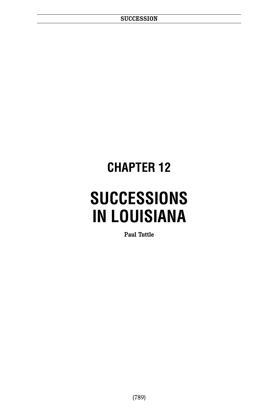## **CHAPTER 12**

# **SUCCESSIONS IN LOUISIANA**

**Paul Tuttle**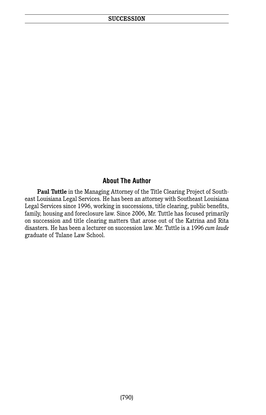#### **About The Author**

**Paul Tuttle** in the Managing Attorney of the Title Clearing Project of Southeast Louisiana Legal Services. He has been an attorney with Southeast Louisiana Legal Services since 1996, working in successions, title clearing, public benefits, family, housing and foreclosure law. Since 2006, Mr. Tuttle has focused primarily on succession and title clearing matters that arose out of the Katrina and Rita disasters. He has been a lecturer on succession law. Mr. Tuttle is a 1996 *cum laude* graduate of Tulane Law School.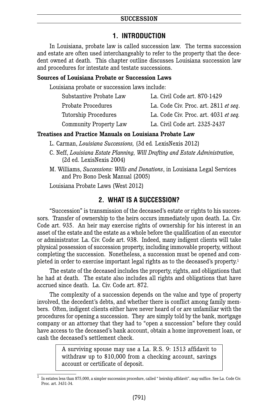#### **SUCCESSION**

## **1. INTRODUCTION**

In Louisiana, probate law is called succession law. The terms succession and estate are often used interchangeably to refer to the property that the decedent owned at death. This chapter outline discusses Louisiana succession law and procedures for intestate and testate successions.

#### **Sources of Louisiana Probate or Succession Laws**

Louisiana probate or succession laws include:

| Substantive Probate Law | La. Civil Code art. 870-1429          |
|-------------------------|---------------------------------------|
| Probate Procedures      | La. Code Civ. Proc. art. 2811 et seq. |
| Tutorship Procedures    | La. Code Civ. Proc. art. 4031 et seg. |
| Community Property Law  | La. Civil Code art. 2325-2437         |

#### **Treatises and Practice Manuals on Louisiana Probate Law**

L. Carman, *Louisiana Successions,* (3d ed*.* LexisNexis 2012)

- C. Neff, *Louisiana Estate Planning, Will Drafting and Estate Administration,* (2d ed. LexisNexis 2004)
- M. Williams, *Successions: Wills and Donations*, in Louisiana Legal Services and Pro Bono Desk Manual (2005)

Louisiana Probate Laws (West 2012)

#### **2. WHAT IS A SUCCESSION?**

"Succession" is transmission of the deceased's estate or rights to his successors. Transfer of ownership to the heirs occurs immediately upon death. La. Civ. Code art. 935. An heir may exercise rights of ownership for his interest in an asset of the estate and the estate as a whole before the qualification of an executor or administrator. La. Civ. Code art. 938. Indeed, many indigent clients will take physical possession of succession property, including immovable property, without completing the succession. Nonetheless, a succession must be opened and completed in order to exercise important legal rights as to the deceased's property. 1

The estate of the deceased includes the property, rights, and obligations that he had at death. The estate also includes all rights and obligations that have accrued since death. La. Civ. Code art. 872.

The complexity of a succession depends on the value and type of property involved, the decedent's debts, and whether there is conflict among family members. Often, indigent clients either have never heard of or are unfamiliar with the procedures for opening a succession. They are simply told by the bank, mortgage company or an attorney that they had to "open a succession" before they could have access to the deceased's bank account, obtain a home improvement loan, or cash the deceased's settlement check.

> A surviving spouse may use a La. R.S. 9: 1513 affidavit to withdraw up to \$10,000 from a checking account, savings account or certificate of deposit.

 $\overline{1}$  In estates less than \$75,000, a simpler succession procedure, called " heirship affidavit", may suffice. See La. Code Civ. Proc. art. 3431-34.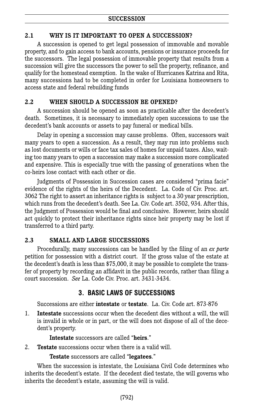## **2.1 WHY IS IT IMPORTANT TO OPEN A SUCCESSION?**

A succession is opened to get legal possession of immovable and movable property, and to gain access to bank accounts, pensions or insurance proceeds for the successors. The legal possession of immovable property that results from a succession will give the successors the power to sell the property, refinance, and qualify for the homestead exemption. In the wake of Hurricanes Katrina and Rita, many successions had to be completed in order for Louisiana homeowners to access state and federal rebuilding funds

## **2.2 WHEN SHOULD A SUCCESSION BE OPENED?**

A succession should be opened as soon as practicable after the decedent's death. Sometimes, it is necessary to immediately open successions to use the decedent's bank accounts or assets to pay funeral or medical bills.

Delay in opening a succession may cause problems. Often, successors wait many years to open a succession. As a result, they may run into problems such as lost documents or wills or face tax sales of homes for unpaid taxes. Also, waiting too many years to open a succession may make a succession more complicated and expensive. This is especially true with the passing of generations when the co-heirs lose contact with each other or die.

Judgments of Possession in Succession cases are considered "prima facie" evidence of the rights of the heirs of the Decedent. La. Code of Civ. Proc. art. 3062 The right to assert an inheritance rights is subject to a 30 year prescription, which runs from the decedent's death. See La. Civ. Code art. 3502, 934. After this, the Judgment of Possession would be final and conclusive. However, heirs should act quickly to protect their inheritance rights since heir property may be lost if transferred to a third party.

## **2.3 SMALL AND LARGE SUCCESSIONS**

Procedurally, many successions can be handled by the filing of an *ex parte* petition for possession with a district court. If the gross value of the estate at the decedent's death is less than \$75,000, it may be possible to complete the transfer of property by recording an affidavit in the public records, rather than filing a court succession. *See* La. Code Civ. Proc. art. 3431-3434.

## **3. BASIC LAWS OF SUCCESSIONS**

Successions are either **intestate** or **testate**. La. Civ. Code art. 873-876

1. **Intestate** successions occur when the decedent dies without a will, the will is invalid in whole or in part, or the will does not dispose of all of the decedent's property.

**Intestate** successors are called "**heirs**."

2. **Testate** successions occur when there is a valid will.

**Testate** successors are called "**legatees**."

When the succession is intestate, the Louisiana Civil Code determines who inherits the decedent's estate. If the decedent died testate, the will governs who inherits the decedent's estate, assuming the will is valid.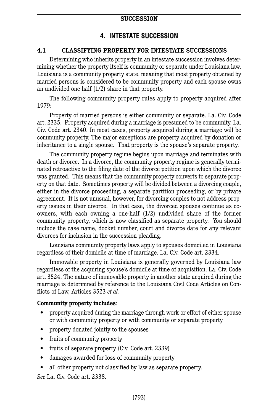## **4. INTESTATE SUCCESSION**

## **4.1 CLASSIFYING PROPERTY FOR INTESTATE SUCCESSIONS**

Determining who inherits property in an intestate succession involves determining whether the property itself is community or separate under Louisiana law. Louisiana is a community property state, meaning that most property obtained by married persons is considered to be community property and each spouse owns an undivided one-half (1/2) share in that property.

The following community property rules apply to property acquired after 1979:

Property of married persons is either community or separate. La. Civ. Code art. 2335. Property acquired during a marriage is presumed to be community. La. Civ. Code art. 2340. In most cases, property acquired during a marriage will be community property. The major exceptions are property acquired by donation or inheritance to a single spouse. That property is the spouse's separate property.

The community property regime begins upon marriage and terminates with death or divorce. In a divorce, the community property regime is generally terminated retroactive to the filing date of the divorce petition upon which the divorce was granted. This means that the community property converts to separate property on that date. Sometimes property will be divided between a divorcing couple, either in the divorce proceeding, a separate partition proceeding, or by private agreement. It is not unusual, however, for divorcing couples to not address property issues in their divorce. In that case, the divorced spouses continue as coowners, with each owning a one-half (1/2) undivided share of the former community property, which is now classified as separate property. You should include the case name, docket number, court and divorce date for any relevant divorces for inclusion in the succession pleading.

Louisiana community property laws apply to spouses domiciled in Louisiana regardless of their domicile at time of marriage. La. Civ. Code art. 2334.

Immovable property in Louisiana is generally governed by Louisiana law regardless of the acquiring spouse's domicile at time of acquisition. La. Civ. Code art. 3524. The nature of immovable property in another state acquired during the marriage is determined by reference to the Louisiana Civil Code Articles on Conflicts of Law, Articles 3523 *et al.*

#### **Community property includes**:

- property acquired during the marriage through work or effort of either spouse or with community property or with community or separate property
- property donated jointly to the spouses
- fruits of community property
- fruits of separate property (Civ. Code art. 2339)
- damages awarded for loss of community property
- all other property not classified by law as separate property.

*See* La. Civ. Code art. 2338.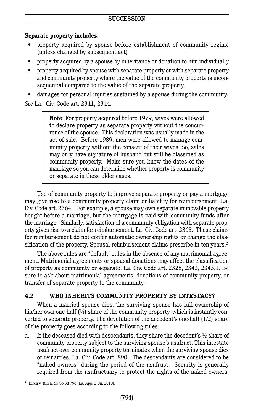## **Separate property includes:**

- property acquired by spouse before establishment of community regime (unless changed by subsequent act)
- property acquired by a spouse by inheritance or donation to him individually
- property acquired by spouse with separate property or with separate property and community property where the value of the community property is inconsequential compared to the value of the separate property.
- damages for personal injuries sustained by a spouse during the community.

*See* La. Civ. Code art. 2341, 2344.

**Note**: For property acquired before 1979, wives were allowed to declare property as separate property without the concurrence of the spouse. This declaration was usually made in the act of sale. Before 1989, men were allowed to manage community property without the consent of their wives. So, sales may only have signature of husband but still be classified as community property. Make sure you know the dates of the marriage so you can determine whether property is community or separate in these older cases.

Use of community property to improve separate property or pay a mortgage may give rise to a community property claim or liability for reimbursement. La. Civ. Code art. 2364. For example, a spouse may own separate immovable property bought before a marriage, but the mortgage is paid with community funds after the marriage. Similarly, satisfaction of a community obligation with separate property gives rise to a claim for reimbursement. La. Civ. Code art. 2365. These claims for reimbursement do not confer automatic ownership rights or change the classification of the property. Spousal reimbursement claims prescribe in ten years. 2

The above rules are "default" rules in the absence of any matrimonial agreement. Matrimonial agreements or spousal donations may affect the classification of property as community or separate. La. Civ. Code art. 2328, 2343, 2343.1. Be sure to ask about matrimonial agreements, donations of community property, or transfer of separate property to the community.

## **4.2 WHO INHERITS COMMUNITY PROPERTY BY INTESTACY?**

When a married spouse dies, the surviving spouse has full ownership of his/her own one-half  $\left(\frac{1}{2}\right)$  share of the community property, which is instantly converted to separate property. The devolution of the decedent's one-half (1/2) share of the property goes according to the following rules:

a. If the deceased died with descendants, they share the decedent's  $\frac{1}{2}$  share of community property subject to the surviving spouse's usufruct. This intestate usufruct over community property terminates when the surviving spouse dies or remarries. La. Civ. Code art. 890. The descendants are considered to be "naked owners" during the period of the usufruct. Security is generally required from the usufructuary to protect the rights of the naked owners.

 $\frac{2}{3}$  Birch v. Birch, 55 So.3d 796 (La. App. 2 Cir. 2010).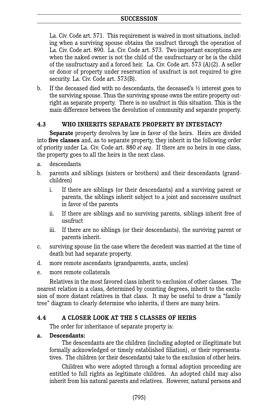La. Civ. Code art. 571. This requirement is waived in most situations, including when a surviving spouse obtains the usufruct through the operation of La. Civ. Code art. 890. La. Civ. Code art. 573. Two important exceptions are when the naked owner is not the child of the usufructuary or he is the child of the usufructuary and a forced heir. La. Civ. Code art. 573 (A)(2). A seller or donor of property under reservation of usufruct is not required to give security. La. Civ. Code art. 573(B).

b. If the deceased died with no descendants, the deceased's ½ interest goes to the surviving spouse. Thus the surviving spouse owns the entire property outright as separate property. There is no usufruct in this situation. This is the main difference between the devolution of community and separate property.

## **4.3 WHO INHERITS SEPARATE PROPERTY BY INTESTACY?**

**Separate** property devolves by law in favor of the heirs. Heirs are divided into **five classes** and, as to separate property, they inherit in the following order of priority under La. Civ. Code art. 880 *et seq*. If there are no heirs in one class, the property goes to all the heirs in the next class.

- a. descendants
- b. parents and siblings (sisters or brothers) and their descendants (grandchildren)
	- i. If there are siblings (or their descendants) and a surviving parent or parents, the siblings inherit subject to a joint and successive usufruct in favor of the parents
	- ii. If there are siblings and no surviving parents, siblings inherit free of usufruct
	- iii. If there are no siblings (or their descendants), the surviving parent or parents inherit.
- c. surviving spouse (in the case where the decedent was married at the time of death but had separate property.
- d. more remote ascendants (grandparents, aunts, uncles)
- e. more remote collaterals

Relatives in the most favored class inherit to exclusion of other classes. The nearest relation in a class, determined by counting degrees, inherit to the exclusion of more distant relatives in that class. It may be useful to draw a "family tree" diagram to clearly determine who inherits, if there are many heirs.

## **4.4 A CLOSER LOOK AT THE 5 CLASSES OF HEIRS**

The order for inheritance of separate property is:

#### **a. Descendants:**

The descendants are the children (including adopted or illegitimate but formally acknowledged or timely established filiation), or their representatives. The children (or their descendants) take to the exclusion of other heirs.

Children who were adopted through a formal adoption proceeding are entitled to full rights as legitimate children. An adopted child may also inherit from his natural parents and relatives. However, natural persons and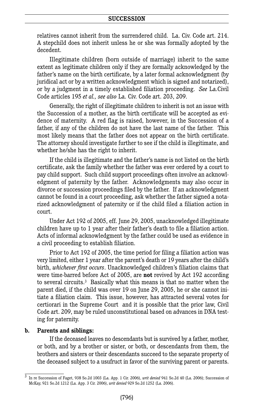relatives cannot inherit from the surrendered child. La. Civ. Code art. 214. A stepchild does not inherit unless he or she was formally adopted by the decedent.

Illegitimate children (born outside of marriage) inherit to the same extent as legitimate children only if they are formally acknowledged by the father's name on the birth certificate, by a later formal acknowledgment (by juridical act or by a written acknowledgment which is signed and notarized), or by a judgment in a timely established filiation proceeding. *See* La.Civil Code articles 195 *et al., see also* La. Civ. Code art. 203, 209.

Generally, the right of illegitimate children to inherit is not an issue with the Succession of a mother, as the birth certificate will be accepted as evidence of maternity. A red flag is raised, however, in the Succession of a father, if any of the children do not have the last name of the father. This most likely means that the father does not appear on the birth certificate. The attorney should investigate further to see if the child is illegitimate, and whether he/she has the right to inherit.

If the child is illegitimate and the father's name is not listed on the birth certificate, ask the family whether the father was ever ordered by a court to pay child support. Such child support proceedings often involve an acknowledgment of paternity by the father. Acknowledgments may also occur in divorce or succession proceedings filed by the father. If an acknowledgment cannot be found in a court proceeding, ask whether the father signed a notarized acknowledgment of paternity or if the child filed a filiation action in court.

Under Act 192 of 2005, eff. June 29, 2005, unacknowledged illegitimate children have up to 1 year after their father's death to file a filiation action. Acts of informal acknowledgment by the father could be used as evidence in a civil proceeding to establish filiation.

Prior to Act 192 of 2005, the time period for filing a filiation action was very limited, either 1 year after the parent's death or 19 years after the child's birth, *whichever first occurs*. Unacknowledged children's filiation claims that were time-barred before Act of 2005, are **not** revived by Act 192 according to several circuits. <sup>3</sup> Basically what this means is that no matter when the parent died, if the child was over 19 on June 29, 2005, he or she cannot initiate a filiation claim. This issue, however, has attracted several votes for certiorari in the Supreme Court and it is possible that the prior law, Civil Code art. 209, may be ruled unconstitutional based on advances in DNA testing for paternity.

#### **b. Parents and siblings:**

If the deceased leaves no descendants but is survived by a father, mother, or both, and by a brother or sister, or both, or descendants from them, the brothers and sisters or their descendants succeed to the separate property of the deceased subject to a usufruct in favor of the surviving parent or parents.

<sup>3</sup> In re Succession of Faget, 938 So.2d 1003 (La. App. 1 Cir. 2006), *writ denied* 941 So.2d 40 (La. 2006); Succession of McKay, 921 So.2d 1212 (La. App. 3 Cir. 2006), *writ denied* 929 So.2d 1252 (La. 2006).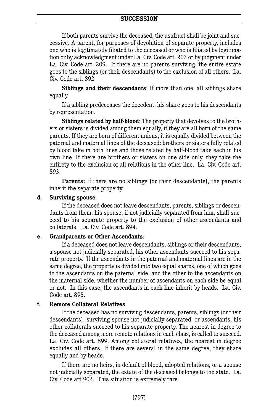If both parents survive the deceased, the usufruct shall be joint and successive. A parent, for purposes of devolution of separate property, includes one who is legitimately filiated to the deceased or who is filiated by legitimation or by acknowledgment under La. Civ. Code art. 203 or by judgment under La. Civ. Code art. 209. If there are no parents surviving, the entire estate goes to the siblings (or their descendants) to the exclusion of all others. La. Civ. Code art. 892

**Siblings and their descendants**: If more than one, all siblings share equally.

If a sibling predeceases the decedent, his share goes to his descendants by representation.

**Siblings related by half-blood**: The property that devolves to the brothers or sisters is divided among them equally, if they are all born of the same parents. If they are born of different unions, it is equally divided between the paternal and maternal lines of the deceased: brothers or sisters fully related by blood take in both lines and those related by half-blood take each in his own line. If there are brothers or sisters on one side only, they take the entirety to the exclusion of all relations in the other line. La. Civ. Code art. 893.

**Parents:** If there are no siblings (or their descendants), the parents inherit the separate property.

#### **d. Surviving spouse**:

If the deceased does not leave descendants, parents, siblings or descendants from them, his spouse, if not judicially separated from him, shall succeed to his separate property to the exclusion of other ascendants and collaterals. La. Civ. Code art. 894.

#### **e. Grandparents or Other Ascendants**:

If a deceased does not leave descendants, siblings or their descendants, a spouse not judicially separated, his other ascendants succeed to his separate property. If the ascendants in the paternal and maternal lines are in the same degree, the property is divided into two equal shares, one of which goes to the ascendants on the paternal side, and the other to the ascendants on the maternal side, whether the number of ascendants on each side be equal or not. In this case, the ascendants in each line inherit by heads. La. Civ. Code art. 895.

#### **f. Remote Collateral Relatives**

If the deceased has no surviving descendants, parents, siblings (or their descendants), surviving spouse not judicially separated, or ascendants, his other collaterals succeed to his separate property. The nearest in degree to the deceased among more remote relations in each class, is called to succeed. La. Civ. Code art. 899. Among collateral relatives, the nearest in degree excludes all others. If there are several in the same degree, they share equally and by heads.

If there are no heirs, in default of blood, adopted relations, or a spouse not judicially separated, the estate of the deceased belongs to the state. La. Civ. Code art 902. This situation is extremely rare.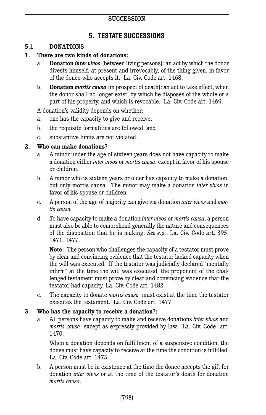## **5. TESTATE SUCCESSIONS**

#### **5.1 DONATIONS**

#### **1. There are two kinds of donations:**

- a. **Donation** *inter vivos* (between living persons): an act by which the donor divests himself, at present and irrevocably, of the thing given, in favor of the donee who accepts it. La. Civ. Code art. 1468.
- b. **Donation** *mortis causa* (in prospect of death): an act to take effect, when the donor shall no longer exist, by which he disposes of the whole or a part of his property, and which is revocable. La. Civ. Code art. 1469.

A donation's validity depends on whether:

- a. one has the capacity to give and receive,
- b. the requisite formalities are followed, and
- c. substantive limits are not violated.

#### **2. Who can make donations?**

- a. A minor under the age of sixteen years does not have capacity to make a donation either *inter vivos* or *mortis causa*, except in favor of his spouse or children.
- b. A minor who is sixteen years or older has capacity to make a donation, but only mortis causa. The minor may make a donation *inter vivos* in favor of his spouse or children.
- c. A person of the age of majority can give via donation *inter vivos* and *mortis causa.*
- d. To have capacity to make a donation *inter vivos* or *mortis causa*, a person must also be able to comprehend generally the nature and consequences of the disposition that he is making. *See e.g.*, La. Civ. Code art. 395, 1471, 1477.

 **Note:** The person who challenges the capacity of a testator must prove by clear and convincing evidence that the testator lacked capacity when the will was executed. If the testator was judicially declared "mentally infirm" at the time the will was executed, the proponent of the challenged testament must prove by clear and convincing evidence that the testator had capacity. La. Civ. Code art. 1482.

e. The capacity to donate *mortis causa* must exist at the time the testator executes the testament. La. Civ. Code art. 1477.

#### **3. Who has the capacity to receive a donation?:**

a. All persons have capacity to make and receive donations *inter vivos* and *mortis causa*, except as expressly provided by law. La. Civ. Code art. 1470.

 When a donation depends on fulfillment of a suspensive condition, the donee must have capacity to receive at the time the condition is fulfilled. La. Civ. Code art. 1473.

b. A person must be in existence at the time the donee accepts the gift for donation *inter vivos* or at the time of the testator's death for donation *mortis causa*.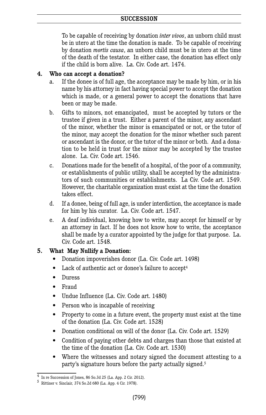#### **SUCCESSION**

 To be capable of receiving by donation *inter vivos*, an unborn child must be in utero at the time the donation is made. To be capable of receiving by donation *mortis causa*, an unborn child must be in utero at the time of the death of the testator. In either case, the donation has effect only if the child is born alive. La. Civ. Code art. 1474.

#### **4. Who can accept a donation?**

- a. If the donee is of full age, the acceptance may be made by him, or in his name by his attorney in fact having special power to accept the donation which is made, or a general power to accept the donations that have been or may be made.
- b. Gifts to minors, not emancipated, must be accepted by tutors or the trustee if given in a trust. Either a parent of the minor, any ascendant of the minor, whether the minor is emancipated or not, or the tutor of the minor, may accept the donation for the minor whether such parent or ascendant is the donor, or the tutor of the minor or both. And a donation to be held in trust for the minor may be accepted by the trustee alone. La. Civ. Code art. 1546.
- c. Donations made for the benefit of a hospital, of the poor of a community, or establishments of public utility, shall be accepted by the administrators of such communities or establishments. La Civ. Code art. 1549. However, the charitable organization must exist at the time the donation takes effect.
- d. If a donee, being of full age, is under interdiction, the acceptance is made for him by his curator. La. Civ. Code art. 1547.
- e. A deaf individual, knowing how to write, may accept for himself or by an attorney in fact. If he does not know how to write, the acceptance shall be made by a curator appointed by the judge for that purpose. La. Civ. Code art. 1548.

## **5. What May Nullify a Donation:**

- Donation impoverishes donor (La. Civ. Code art. 1498)
- Lack of authentic act or donee's failure to accept<sup>4</sup>
- Duress
- Fraud
- Undue Influence (La. Civ. Code art. 1480)
- Person who is incapable of receiving
- Property to come in a future event, the property must exist at the time of the donation (La. Civ. Code art. 1528)
- Donation conditional on will of the donor (La. Civ. Code art. 1529)
- Condition of paying other debts and charges than those that existed at the time of the donation (La. Civ. Code art. 1530)
- Where the witnesses and notary signed the document attesting to a party's signature hours before the party actually signed. 5

<sup>4</sup> In re Succession of Jones, <sup>86</sup> So.3d <sup>25</sup> (La. App. <sup>2</sup> Cir. 2012). <sup>5</sup> Rittiner v. Sinclair*,* <sup>374</sup> So.2d <sup>680</sup> (La. App. <sup>4</sup> Cir. 1978).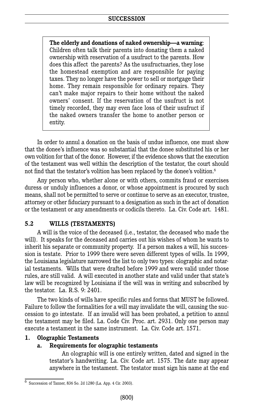**The elderly and donations of naked ownership—a warning**: Children often talk their parents into donating them a naked ownership with reservation of a usufruct to the parents. How does this affect the parents? As the usufructuaries, they lose the homestead exemption and are responsible for paying taxes. They no longer have the power to sell or mortgage their home. They remain responsible for ordinary repairs. They can't make major repairs to their home without the naked owners' consent. If the reservation of the usufruct is not timely recorded, they may even face loss of their usufruct if the naked owners transfer the home to another person or entity.

In order to annul a donation on the basis of undue influence, one must show that the donee's influence was so substantial that the donee substituted his or her own volition for that of the donor. However, if the evidence shows that the execution of the testament was well within the description of the testator, the court should not find that the testator's volition has been replaced by the donee's volition. $^6$ 

Any person who, whether alone or with others, commits fraud or exercises duress or unduly influences a donor, or whose appointment is procured by such means, shall not be permitted to serve or continue to serve as an executor, trustee, attorney or other fiduciary pursuant to a designation as such in the act of donation or the testament or any amendments or codicils thereto. La. Civ. Code art. 1481.

## **5.2 WILLS (TESTAMENTS)**

A will is the voice of the deceased (i.e., testator, the deceased who made the will). It speaks for the deceased and carries out his wishes of whom he wants to inherit his separate or community property. If a person makes a will, his succession is testate. Prior to 1999 there were seven different types of wills. In 1999, the Louisiana legislature narrowed the list to only two types: olographic and notarial testaments. Wills that were drafted before 1999 and were valid under those rules, are still valid. A will executed in another state and valid under that state's law will be recognized by Louisiana if the will was in writing and subscribed by the testator. La. R.S. 9: 2401.

The two kinds of wills have specific rules and forms that MUST be followed. Failure to follow the formalities for a will may invalidate the will, causing the succession to go intestate. If an invalid will has been probated, a petition to annul the testament may be filed. La. Code Civ. Proc. art. 2931. Only one person may execute a testament in the same instrument. La. Civ. Code art. 1571.

#### **1. Olographic Testaments**

#### **a. Requirements for olographic testaments**

An olographic will is one entirely written, dated and signed in the testator's handwriting. La. Civ. Code art. 1575. The date may appear anywhere in the testament. The testator must sign his name at the end

 $\overline{6}$  Succession of Tanner, 836 So. 2d 1280 (La. App. 4 Cir. 2003).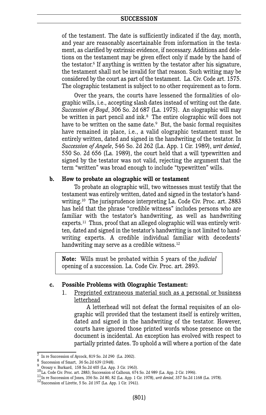#### **SUCCESSION**

of the testament. The date is sufficiently indicated if the day, month, and year are reasonably ascertainable from information in the testament, as clarified by extrinsic evidence, if necessary. Additions and deletions on the testament may be given effect only if made by the hand of the testator. <sup>6</sup> If anything is written by the testator after his signature, the testament shall not be invalid for that reason. Such writing may be considered by the court as part of the testament. La. Civ. Code art. 1575. The olographic testament is subject to no other requirement as to form.

Over the years, the courts have lessened the formalities of olographic wills, i.e., accepting slash dates instead of writing out the date. *Succession of Boyd*, 306 So. 2d 687 (La. 1975). An olographic will may be written in part pencil and ink. <sup>8</sup> The entire olographic will does not have to be written on the same date. <sup>9</sup> But, the basic formal requisites have remained in place, i.e., a valid olographic testament must be entirely written, dated and signed in the handwriting of the testator. In *Succession of Angele*, 546 So. 2d 262 (La. App. 1 Cir. 1989), *writ denied*, 550 So. 2d 656 (La. 1989), the court held that a will typewritten and signed by the testator was not valid, rejecting the argument that the term "written" was broad enough to include "typewritten" wills.

#### **b. How to probate an olographic will or testament**

To probate an olographic will, two witnesses must testify that the testament was entirely written, dated and signed in the testator's handwriting. <sup>10</sup> The jurisprudence interpreting La. Code Civ. Proc. art. 2883 has held that the phrase "credible witness" includes persons who are familiar with the testator's handwriting, as well as handwriting experts. <sup>11</sup> Thus, proof that an alleged olographic will was entirely written, dated and signed in the testator's handwriting is not limited to handwriting experts. A credible individual familiar with decedents' handwriting may serve as a credible witness. 12

**Note:** Wills must be probated within 5 years of the *judicial* opening of a succession. La. Code Civ. Proc. art. 2893.

#### **c. Possible Problems with Olographic Testament:**

1. Preprinted extraneous material such as a personal or business letterhead

A letterhead will not defeat the formal requisites of an olographic will provided that the testament itself is entirely written, dated and signed in the handwriting of the testator. However, courts have ignored those printed words whose presence on the document is incidental. An exception has evolved with respect to partially printed dates. To uphold a will where a portion of the date

<sup>&</sup>lt;sup>7</sup> In re Succession of Aycock, 819 So. 2d 290 (La. 2002).<br>
8 Succession of Smart, 36 So.2d 639 (1948).<br>
9 Oroszy v. Burkard, 158 So.2d 405 (La. App. 3 Cir. 1963).<br>
10 La. Code Civ. Proc. art. 2883; Succession of Calhoun,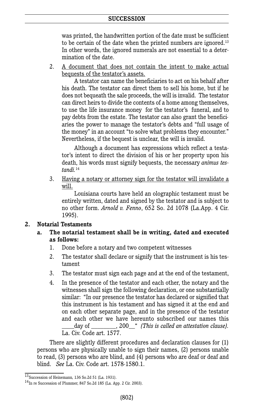#### **SUCCESSION**

was printed, the handwritten portion of the date must be sufficient to be certain of the date when the printed numbers are ignored. 13 In other words, the ignored numerals are not essential to a determination of the date.

2. A document that does not contain the intent to make actual bequests of the testator's assets.

A testator can name the beneficiaries to act on his behalf after his death. The testator can direct them to sell his home, but if he does not bequeath the sale proceeds, the will is invalid. The testator can direct heirs to divide the contents of a home among themselves, to use the life insurance money for the testator's funeral, and to pay debts from the estate. The testator can also grant the beneficiaries the power to manage the testator's debts and "full usage of the money" in an account "to solve what problems they encounter." Nevertheless, if the bequest is unclear, the will is invalid.

Although a document has expressions which reflect a testator's intent to direct the division of his or her property upon his death, his words must signify bequests, the necessary *animus testandi.* 14

3. Having a notary or attorney sign for the testator will invalidate a will.

Louisiana courts have held an olographic testament must be entirely written, dated and signed by the testator and is subject to no other form. *Arnold v. Fenno*, 652 So. 2d 1078 (La.App. 4 Cir. 1995).

#### **2. Notarial Testaments**

- **a. The notarial testament shall be in writing, dated and executed as follows:**
	- 1. Done before a notary and two competent witnesses
	- 2. The testator shall declare or signify that the instrument is his testament
	- 3. The testator must sign each page and at the end of the testament,
	- 4. In the presence of the testator and each other, the notary and the witnesses shall sign the following declaration, or one substantially similar: "In our presence the testator has declared or signified that this instrument is his testament and has signed it at the end and on each other separate page, and in the presence of the testator and each other we have hereunto subscribed our names this \_\_\_\_day of \_\_\_\_\_\_\_\_, 200\_\_" *(This is called an attestation clause).* La. Civ. Code art. 1577.

There are slightly different procedures and declaration clauses for (1) persons who are physically unable to sign their names, (2) persons unable to read, (3) persons who are blind, and (4) persons who are deaf or deaf and blind. *See* La. Civ. Code art. 1578-1580.1.

 $^{13}$ Succession of Heinemann, 136 So.2d 51 (La. 1931).<br><sup>14</sup>In re Succession of Plummer, 847 So.2d 185 (La. App. 2 Cir. 2003).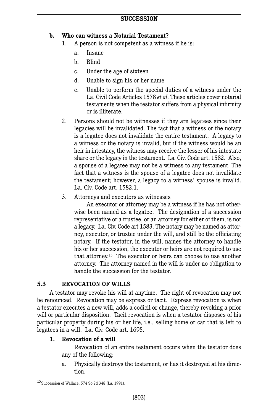## **b. Who can witness a Notarial Testament?**

- 1. A person is not competent as a witness if he is:
	- a. Insane
	- b. Blind
	- c. Under the age of sixteen
	- d. Unable to sign his or her name
	- e. Unable to perform the special duties of a witness under the La. Civil Code Articles 1578 *et al*. These articles cover notarial testaments when the testator suffers from a physical infirmity or is illiterate.
- 2. Persons should not be witnesses if they are legatees since their legacies will be invalidated. The fact that a witness or the notary is a legatee does not invalidate the entire testament. A legacy to a witness or the notary is invalid, but if the witness would be an heir in intestacy, the witness may receive the lesser of his intestate share or the legacy in the testament. La Civ. Code art. 1582. Also, a spouse of a legatee may not be a witness to any testament. The fact that a witness is the spouse of a legatee does not invalidate the testament; however, a legacy to a witness' spouse is invalid. La. Civ. Code art. 1582.1.
- 3. Attorneys and executors as witnesses

An executor or attorney may be a witness if he has not otherwise been named as a legatee. The designation of a succession representative or a trustee, or an attorney for either of them, is not a legacy. La. Civ. Code art 1583. The notary may be named as attorney, executor, or trustee under the will, and still be the officiating notary. If the testator, in the will, names the attorney to handle his or her succession, the executor or heirs are not required to use that attorney. <sup>15</sup> The executor or heirs can choose to use another attorney. The attorney named in the will is under no obligation to handle the succession for the testator.

## **5.3 REVOCATION OF WILLS**

A testator may revoke his will at anytime. The right of revocation may not be renounced. Revocation may be express or tacit. Express revocation is when a testator executes a new will, adds a codicil or change, thereby revoking a prior will or particular disposition. Tacit revocation is when a testator disposes of his particular property during his or her life, i.e., selling home or car that is left to legatees in a will. La. Civ. Code art. 1695.

## **1. Revocation of a will**

Revocation of an entire testament occurs when the testator does any of the following:

a. Physically destroys the testament, or has it destroyed at his direction.

 $15$ Succession of Wallace, 574 So.2d 348 (La. 1991).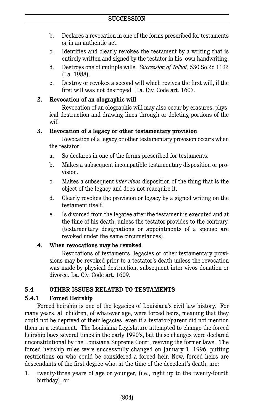- b. Declares a revocation in one of the forms prescribed for testaments or in an authentic act.
- c. Identifies and clearly revokes the testament by a writing that is entirely written and signed by the testator in his own handwriting.
- d. Destroys one of multiple wills*. Succession of Talbot*, 530 So.2d 1132 (La. 1988).
- e. Destroy or revokes a second will which revives the first will, if the first will was not destroyed. La. Civ. Code art. 1607.

#### **2. Revocation of an olographic will**

Revocation of an olographic will may also occur by erasures, physical destruction and drawing lines through or deleting portions of the will

#### **3. Revocation of a legacy or other testamentary provision**

Revocation of a legacy or other testamentary provision occurs when the testator:

- a. So declares in one of the forms prescribed for testaments.
- b. Makes a subsequent incompatible testamentary disposition or provision.
- c. Makes a subsequent *inter vivos* disposition of the thing that is the object of the legacy and does not reacquire it.
- d. Clearly revokes the provision or legacy by a signed writing on the testament itself.
- e. Is divorced from the legatee after the testament is executed and at the time of his death, unless the testator provides to the contrary. (testamentary designations or appointments of a spouse are revoked under the same circumstances).

## **4. When revocations may be revoked**

Revocations of testaments, legacies or other testamentary provisions may be revoked prior to a testator's death unless the revocation was made by physical destruction, subsequent inter vivos donation or divorce. La. Civ. Code art. 1609.

## **5.4 OTHER ISSUES RELATED TO TESTAMENTS**

## **5.4.1 Forced Heirship**

Forced heirship is one of the legacies of Louisiana's civil law history. For many years, all children, of whatever age, were forced heirs, meaning that they could not be deprived of their legacies, even if a testator/parent did not mention them in a testament. The Louisiana Legislature attempted to change the forced heirship laws several times in the early 1990's, but these changes were declared unconstitutional by the Louisiana Supreme Court, reviving the former laws. The forced heirship rules were successfully changed on January 1, 1996, putting restrictions on who could be considered a forced heir. Now, forced heirs are descendants of the first degree who, at the time of the decedent's death, are:

1. twenty-three years of age or younger, (i.e., right up to the twenty-fourth birthday), or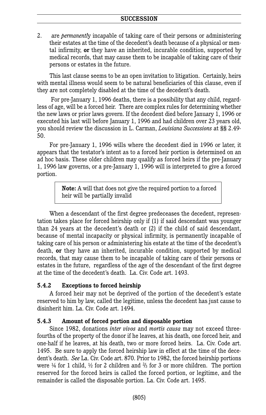2. are *permanentl*y incapable of taking care of their persons or administering their estates at the time of the decedent's death because of a physical or mental infirmity, **or** they have an inherited, incurable condition, supported by medical records, that may cause them to be incapable of taking care of their persons or estates in the future.

This last clause seems to be an open invitation to litigation. Certainly, heirs with mental illness would seem to be natural beneficiaries of this clause, even if they are not completely disabled at the time of the decedent's death.

For pre-January 1, 1996 deaths, there is a possibility that any child, regardless of age, will be a forced heir. There are complex rules for determining whether the new laws or prior laws govern. If the decedent died before January 1, 1996 or executed his last will before January 1, 1996 and had children over 23 years old, you should review the discussion in L. Carman, *Louisiana Successions* at §§ 2.49- 50.

For pre-January 1, 1996 wills where the decedent died in 1996 or later, it appears that the testator's intent as to a forced heir portion is determined on an ad hoc basis. These older children may qualify as forced heirs if the pre-January 1, 1996 law governs, or a pre-January 1, 1996 will is interpreted to give a forced portion.

> **Note:** A will that does not give the required portion to a forced heir will be partially invalid

When a descendant of the first degree predeceases the decedent, representation takes place for forced heirship only if (1) if said descendant was younger than 24 years at the decedent's death or (2) if the child of said descendant, because of mental incapacity or physical infirmity, is permanently incapable of taking care of his person or administering his estate at the time of the decedent's death, **or** they have an inherited, incurable condition, supported by medical records, that may cause them to be incapable of taking care of their persons or estates in the future, regardless of the age of the descendant of the first degree at the time of the decedent's death. La. Civ. Code art. 1493.

#### **5.4.2 Exceptions to forced heirship**

A forced heir may not be deprived of the portion of the decedent's estate reserved to him by law, called the legitime, unless the decedent has just cause to disinherit him. La. Civ. Code art. 1494.

## **5.4.3 Amount of forced portion and disposable portion**

Since 1982, donations *inter vivos* and *mortis causa* may not exceed threefourths of the property of the donor if he leaves, at his death, one forced heir, and one-half if he leaves, at his death, two or more forced heirs. La. Civ. Code art. 1495. Be sure to apply the forced heirship law in effect at the time of the decedent's death. *See* La. Civ. Code art. 870. Prior to 1982, the forced heirship portions were  $\frac{1}{4}$  for 1 child,  $\frac{1}{2}$  for 2 children and  $\frac{2}{3}$  for 3 or more children. The portion reserved for the forced heirs is called the forced portion, or legitime, and the remainder is called the disposable portion. La. Civ. Code art. 1495.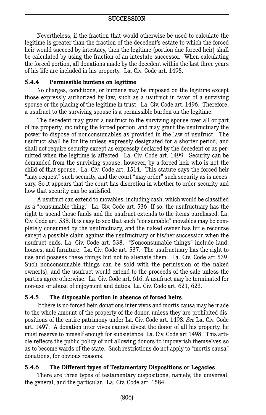Nevertheless, if the fraction that would otherwise be used to calculate the legitime is greater than the fraction of the decedent's estate to which the forced heir would succeed by intestacy, then the legitime (portion due forced heir) shall be calculated by using the fraction of an intestate successor. When calculating the forced portion, all donations made by the decedent within the last three years of his life are included in his property. La. Civ. Code art. 1495.

#### **5.4.4 Permissible burdens on legitime**

No charges, conditions, or burdens may be imposed on the legitime except those expressly authorized by law, such as a usufruct in favor of a surviving spouse or the placing of the legitime in trust. La. Civ. Code art. 1496. Therefore, a usufruct to the surviving spouse is a permissible burden on the legitime.

The decedent may grant a usufruct to the surviving spouse over all or part of his property, including the forced portion, and may grant the usufructuary the power to dispose of nonconsumables as provided in the law of usufruct. The usufruct shall be for life unless expressly designated for a shorter period, and shall not require security except as expressly declared by the decedent or as permitted when the legitime is affected. La. Civ. Code art. 1499. Security can be demanded from the surviving spouse, however, by a forced heir who is not the child of that spouse. La. Civ. Code art. 1514. This statute says the forced heir "may request" such security, and the court "may order" such security as is necessary. So it appears that the court has discretion in whether to order security and how that security can be satisfied.

A usufruct can extend to movables, including cash, which would be classified as a "consumable thing.' La. Civ. Code art. 536 If so, the usufructuary has the right to spend those funds and the usufruct extends to the items purchased. La. Civ. Code art. 538. It is easy to see that such "consumable" movables may be completely consumed by the usufructuary, and the naked owner has little recourse except a possible claim against the usufructuary or his/her succession when the usufruct ends. La. Civ. Code art. 538. "Nonconsumable things" include land, houses, and furniture. La. Civ. Code art. 537. The usufructuary has the right to use and possess these things but not to alienate them. La. Civ. Code art 539. Such nonconsumable things can be sold with the permission of the naked owner(s), and the usufruct would extend to the proceeds of the sale unless the parties agree otherwise. La. Civ. Code art. 616. A usufruct may be terminated for non-use or abuse of enjoyment and duties. La. Civ. Code art. 621, 623.

#### **5.4.5 The disposable portion in absence of forced heirs**

If there is no forced heir, donations inter vivos and mortis causa may be made to the whole amount of the property of the donor, unless they are prohibited dispositions of the entire patrimony under La. Civ. Code art. 1498. *See* La. Civ. Code art. 1497. A donation inter vivos cannot divest the donor of all his property, he must reserve to himself enough for subsistence. La. Civ. Code art 1498. This article reflects the public policy of not allowing donors to impoverish themselves so as to become wards of the state. Such restrictions do not apply to "mortis causa" donations, for obvious reasons.

#### **5.4.6 The Different types of Testamentary Dispositions or Legacies**

There are three types of testamentary dispositions, namely, the universal, the general, and the particular. La. Civ. Code art. 1584.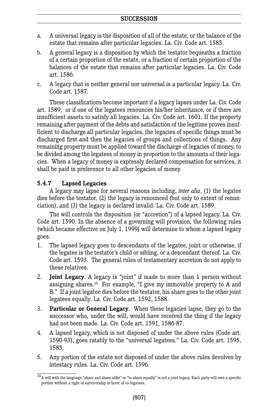- a. A universal legacy is the disposition of all of the estate, or the balance of the estate that remains after particular legacies. La. Civ. Code art. 1585.
- b. A general legacy is a disposition by which the testator bequeaths a fraction of a certain proportion of the estate, or a fraction of certain proportion of the balances of the estate that remains after particular legacies. La. Civ. Code art. 1586.
- c. A legacy that is neither general nor universal is a particular legacy. La. Civ. Code art. 1587.

These classifications become important if a legacy lapses under La. Civ. Code art. 1589, or if one of the legatees renounces his/her inheritance, or if there are insufficient assets to satisfy all legacies. La. Civ. Code art. 1601. If the property remaining after payment of the debts and satisfaction of the legitime proves insufficient to discharge all particular legacies, the legacies of specific things must be discharged first and then the legacies of groups and collections of things. Any remaining property must be applied toward the discharge of legacies of money, to be divided among the legatees of money in proportion to the amounts of their legacies. When a legacy of money is expressly declared compensation for services, it shall be paid in preference to all other legacies of money.

## **5.4.7 Lapsed Legacies**

A legacy may lapse for several reasons including, *inter alia*, (1) the legatee dies before the testator, (2) the legacy is renounced (but only to extent of renunciation), and (3) the legacy is declared invalid. La. Civ. Code art. 1589.

The will controls the disposition (or "accretion") of a lapsed legacy. La. Civ. Code art. 1590. In the absence of a governing will provision, the following rules (which became effective on July 1, 1999) will determine to whom a lapsed legacy goes:

- 1. The lapsed legacy goes to descendants of the legatee, joint or otherwise, if the legatee is the testator's child or sibling, or a descendant thereof. La. Civ. Code art. 1593. The general rules of testamentary accretion do not apply to these relatives.
- 2. **Joint Legacy**. A legacy is "joint" if made to more than 1 person without assigning shares. <sup>16</sup> For example, "I give my immovable property to A and B." If a joint legatee dies before the testator, his share goes to the other joint legatees equally. La. Civ. Code art. 1592, 1588.
- 3. **Particular or General Legacy**. When these legacies lapse, they go to the successor who, under the will, would have received the thing if the legacy had not been made. La. Civ. Code art. 1591, 1586-87.
- 4. A lapsed legacy, which is not disposed of under the above rules (Code art. 1590-93), goes ratably to the "universal legatees." La. Civ. Code art. 1595, 1585.
- 5. Any portion of the estate not disposed of under the above rules devolves by intestacy rules. La. Civ. Code art. 1596.

 $^{16}\!$  A will with the language "share and share alike" or "to share equally" is not a joint legacy. Each party will own a specific portion without a right of survivorship in favor of co-legatees.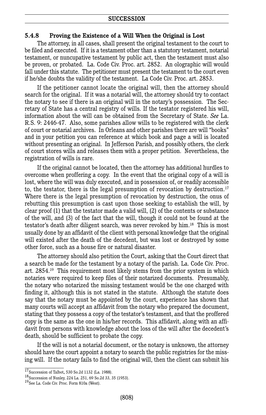#### **5.4.8 Proving the Existence of a Will When the Original is Lost**

The attorney, in all cases, shall present the original testament to the court to be filed and executed. If it is a testament other than a statutory testament, notarial testament, or nuncupative testament by public act, then the testament must also be proven, or probated. La. Code Civ. Proc. art. 2852. An olographic will would fall under this statute. The petitioner must present the testament to the court even if he/she doubts the validity of the testament. La Code Civ. Proc. art. 2853.

If the petitioner cannot locate the original will, then the attorney should search for the original. If it was a notarial will, the attorney should try to contact the notary to see if there is an original will in the notary's possession. The Secretary of State has a central registry of wills. If the testator registered his will, information about the will can be obtained from the Secretary of State. *See* La. R.S. 9: 2446-47. Also, some parishes allow wills to be registered with the clerk of court or notarial archives. In Orleans and other parishes there are will "books" and in your petition you can reference at which book and page a will is located without presenting an original. In Jefferson Parish, and possibly others, the clerk of court stores wills and releases them with a proper petition. Nevertheless, the registration of wills is rare.

If the original cannot be located, then the attorney has additional hurdles to overcome when proffering a copy. In the event that the original copy of a will is lost, where the will was duly executed, and in possession of, or readily accessible to, the testator, there is the legal presumption of revocation by destruction. 17 Where there is the legal presumption of revocation by destruction, the onus of rebutting this presumption is cast upon those seeking to establish the will, by clear proof (1) that the testator made a valid will, (2) of the contents or substance of the will, and (3) of the fact that the will, though it could not be found at the testator's death after diligent search, was never revoked by him. <sup>18</sup> This is most usually done by an affidavit of the client with personal knowledge that the original will existed after the death of the decedent, but was lost or destroyed by some other force, such as a house fire or natural disaster.

The attorney should also petition the Court, asking that the Court direct that a search be made for the testament by a notary of the parish. La. Code Civ. Proc. art. 2854. <sup>19</sup> This requirement most likely stems from the prior system in which notaries were required to keep files of their notarized documents. Presumably, the notary who notarized the missing testament would be the one charged with finding it, although this is not stated in the statute. Although the statute does say that the notary must be appointed by the court, experience has shown that many courts will accept an affidavit from the notary who prepared the document, stating that they possess a copy of the testator's testament, and that the proffered copy is the same as the one in his/her records. This affidavit, along with an affidavit from persons with knowledge about the loss of the will after the decedent's death, should be sufficient to probate the copy.

If the will is not a notarial document, or the notary is unknown, the attorney should have the court appoint a notary to search the public registries for the missing will. If the notary fails to find the original will, then the client can submit his

<sup>&</sup>lt;sup>17</sup> Succession of Talbot, 530 So.2d 1132 (La. 1988).<br><sup>18</sup> Succession of Nunley, 224 La. 251, 69 So.2d 33, 35 (1953).<br><sup>19</sup> See La. Code Civ. Proc. Form 810a (West).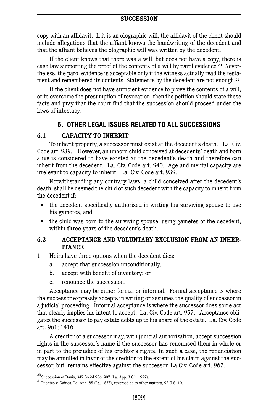copy with an affidavit. If it is an olographic will, the affidavit of the client should include allegations that the affiant knows the handwriting of the decedent and that the affiant believes the olographic will was written by the decedent.

If the client knows that there was a will, but does not have a copy, there is case law supporting the proof of the contents of a will by parol evidence. <sup>20</sup> Nevertheless, the parol evidence is acceptable only if the witness actually read the testament and remembered its contents. Statements by the decedent are not enough. 21

If the client does not have sufficient evidence to prove the contents of a will, or to overcome the presumption of revocation, then the petition should state these facts and pray that the court find that the succession should proceed under the laws of intestacy.

## **6. OTHER LEGAL ISSUES RELATED TO ALL SUCCESSIONS**

#### **6.1 CAPACITY TO INHERIT**

To inherit property, a successor must exist at the decedent's death. La. Civ. Code art. 939. However, an unborn child conceived at decedents' death and born alive is considered to have existed at the decedent's death and therefore can inherit from the decedent. La. Civ. Code art. 940. Age and mental capacity are irrelevant to capacity to inherit. La. Civ. Code art. 939.

Notwithstanding any contrary laws, a child conceived after the decedent's death, shall be deemed the child of such decedent with the capacity to inherit from the decedent if:

- the decedent specifically authorized in writing his surviving spouse to use his gametes, and
- the child was born to the surviving spouse, using gametes of the decedent, within **three** years of the decedent's death.

#### **6.2 ACCEPTANCE AND VOLUNTARY EXCLUSION FROM AN INHER-ITANCE**

- 1. Heirs have three options when the decedent dies:
	- a. accept that succession unconditionally,
	- b. accept with benefit of inventory; or
	- c. renounce the succession.

Acceptance may be either formal or informal. Formal acceptance is where the successor expressly accepts in writing or assumes the quality of successor in a judicial proceeding. Informal acceptance is where the successor does some act that clearly implies his intent to accept. La. Civ. Code art. 957. Acceptance obligates the successor to pay estate debts up to his share of the estate. La. Civ. Code art. 961; 1416.

A creditor of a successor may, with judicial authorization, accept succession rights in the successor's name if the successor has renounced them in whole or in part to the prejudice of his creditor's rights. In such a case, the renunciation may be annulled in favor of the creditor to the extent of his claim against the successor, but remains effective against the successor. La Civ. Code art. 967.

 $\frac{20}{20}$ Succession of Davis, 347 So.2d 906, 907 (La. App. 3 Cir. 1977).<br><sup>21</sup> Fuentes v. Gaines, La. Ann. 85 (La. 1873), reversed as to other matters, 92 U.S. 10.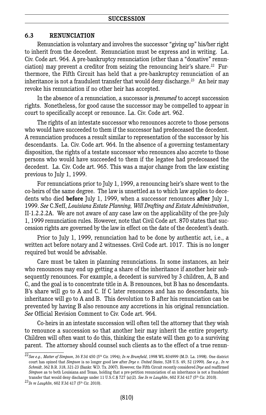#### **6.3 RENUNCIATION**

Renunciation is voluntary and involves the successor "giving up" his/her right to inherit from the decedent. Renunciation must be express and in writing. La. Civ. Code art. 964. A pre-bankruptcy renunciation (other than a "donative" renunciation) may prevent a creditor from seizing the renouncing heir's share. <sup>22</sup> Furthermore, the Fifth Circuit has held that a pre-bankruptcy renunciation of an inheritance is not a fraudulent transfer that would deny discharge. <sup>23</sup> An heir may revoke his renunciation if no other heir has accepted.

In the absence of a renunciation, a successor is *presumed* to accept succession rights. Nonetheless, for good cause the successor may be compelled to appear in court to specifically accept or renounce. La. Civ. Code art. 962.

The rights of an intestate successor who renounces accrete to those persons who would have succeeded to them if the successor had predeceased the decedent. A renunciation produces a result similar to representation of the successor by his descendants. La. Civ. Code art. 964. In the absence of a governing testamentary disposition, the rights of a testate successor who renounces also accrete to those persons who would have succeeded to them if the legatee had predeceased the decedent. La. Civ. Code art. 965. This was a major change from the law existing previous to July 1, 1999.

For renunciations prior to July 1, 1999, a renouncing heir's share went to the co-heirs of the same degree. The law is unsettled as to which law applies to decedents who died **before** July 1, 1999, when a successor renounces **after** July 1, 1999. *See* C.Neff, *Louisiana Estate Planning, Will Drafting and Estate Administration*, II-1.2.2.2A. We are not aware of any case law on the applicability of the pre-July 1, 1999 renunciation rules. However, note that Civil Code art. 870 states that succession rights are governed by the law in effect on the date of the decedent's death.

Prior to July 1, 1999, renunciation had to be done by authentic act, i.e., a written act before notary and 2 witnesses. Civil Code art. 1017. This is no longer required but would be advisable.

Care must be taken in planning renunciations. In some instances, an heir who renounces may end up getting a share of the inheritance if another heir subsequently renounces. For example, a decedent is survived by 3 children, A, B and C, and the goal is to concentrate title in A. B renounces, but B has no descendants. B's share will go to A and C. If C later renounces and has no descendants, his inheritance will go to A and B. This devolution to B after his renunciation can be prevented by having B also renounce any accretions in his original renunciation. *See* Official Revision Comment to Civ. Code art. 964.

Co-heirs in an intestate succession will often tell the attorney that they wish to renounce a succession so that another heir may inherit the entire property. Children will often want to do this, thinking the estate will then go to a surviving parent. The attorney should counsel such clients as to the effect of a true renun-

<sup>22</sup>*See e.g., Matter of Simpson*, 36 F.3d 450 (5th Cir. 1994); *In re Brumfield*, 1998 WL 834999 (M.D. La. 1998). One district court has opined that *Simpson* is no longer good law after *Drye v. United States*, 528 U.S. 49, 52 (1999). *See e.g., In re Schmidt*, 362 B.R. 318, 321-23 (Bankr. W.D. Tx. 2007). However, the Fifth Circuit recently considered *Drye* and reaffirmed *Simpson* as to both Louisiana and Texas, holding that a pre-petition renunciation of an inheritance is not a fraudulent transfer that would deny discharge under <sup>11</sup> U.S.C.§ <sup>727</sup> (a)(2). *See In re Laughlin*, <sup>602</sup> F.3d <sup>417</sup> (5th Cir. 2010). <sup>23</sup>*In re Laughlin*, <sup>602</sup> F.3d <sup>417</sup> (5th Cir. 2010).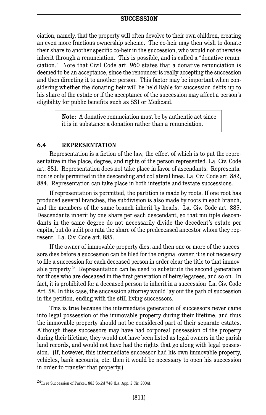ciation, namely, that the property will often devolve to their own children, creating an even more fractious ownership scheme. The co-heir may then wish to donate their share to another specific co-heir in the succession, who would not otherwise inherit through a renunciation. This is possible, and is called a "donative renunciation." Note that Civil Code art. 960 states that a donative renunciation is deemed to be an acceptance, since the renouncer is really accepting the succession and then directing it to another person. This factor may be important when considering whether the donating heir will be held liable for succession debts up to his share of the estate or if the acceptance of the succession may affect a person's eligibility for public benefits such as SSI or Medicaid.

> **Note:** A donative renunciation must be by authentic act since it is in substance a donation rather than a renunciation.

#### **6.4 REPRESENTATION**

Representation is a fiction of the law, the effect of which is to put the representative in the place, degree, and rights of the person represented. La. Civ. Code art. 881. Representation does not take place in favor of ascendants. Representation is only permitted in the descending and collateral lines. La. Civ. Code art. 882, 884. Representation can take place in both intestate and testate successions.

If representation is permitted, the partition is made by roots. If one root has produced several branches, the subdivision is also made by roots in each branch, and the members of the same branch inherit by heads. La. Civ. Code art. 885. Descendants inherit by one share per each descendant, so that multiple descendants in the same degree do not necessarily divide the decedent's estate per capita, but do split pro rata the share of the predeceased ancestor whom they represent. La. Civ. Code art. 885.

If the owner of immovable property dies, and then one or more of the successors dies before a succession can be filed for the original owner, it is not necessary to file a succession for each deceased person in order clear the title to that immovable property. <sup>24</sup> Representation can be used to substitute the second generation for those who are deceased in the first generation of heirs/legatees, and so on. In fact, it is prohibited for a deceased person to inherit in a succession La. Civ. Code Art. 58. In this case, the succession attorney would lay out the path of succession in the petition, ending with the still living successors.

This is true because the intermediate generation of successors never came into legal possession of the immovable property during their lifetime, and thus the immovable property should not be considered part of their separate estates. Although these successors may have had corporeal possession of the property during their lifetime, they would not have been listed as legal owners in the parish land records, and would not have had the rights that go along with legal possession. (If, however, this intermediate successor had his own immovable property, vehicles, bank accounts, etc, then it would be necessary to open his succession in order to transfer that property.)

 $\frac{1}{24}$ In re Succession of Parker, 882 So.2d 748 (La. App. 2 Cir. 2004).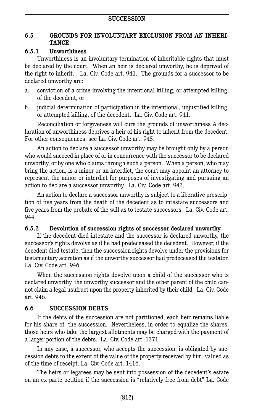## **6.5 GROUNDS FOR INVOLUNTARY EXCLUSION FROM AN INHERI-TANCE**

#### **6.5.1 Unworthiness**

Unworthiness is an involuntary termination of inheritable rights that must be declared by the court. When an heir is declared unworthy, he is deprived of the right to inherit. La. Civ. Code art. 941. The grounds for a successor to be declared unworthy are:

- a. conviction of a crime involving the intentional killing, or attempted killing, of the decedent, or
- b. judicial determination of participation in the intentional, unjustified killing, or attempted killing, of the decedent. La. Civ. Code art. 941.

Reconciliation or forgiveness will cure the grounds of unworthiness A declaration of unworthiness deprives a heir of his right to inherit from the decedent. For other consequences, see La. Civ. Code art. 945.

An action to declare a successor unworthy may be brought only by a person who would succeed in place of or in concurrence with the successor to be declared unworthy, or by one who claims through such a person. When a person, who may bring the action, is a minor or an interdict, the court may appoint an attorney to represent the minor or interdict for purposes of investigating and pursuing an action to declare a successor unworthy. La. Civ. Code art. 942.

An action to declare a successor unworthy is subject to a liberative prescription of five years from the death of the decedent as to intestate successors and five years from the probate of the will as to testate successors. La. Civ. Code art. 944.

#### **6.5.2 Devolution of succession rights of successor declared unworthy**

If the decedent died intestate and the successor is declared unworthy, the successor's rights devolve as if he had predeceased the decedent. However, if the decedent died testate, then the succession rights devolve under the provisions for testamentary accretion as if the unworthy successor had predeceased the testator. La. Civ. Code art. 946.

When the succession rights devolve upon a child of the successor who is declared unworthy, the unworthy successor and the other parent of the child cannot claim a legal usufruct upon the property inherited by their child. La. Civ. Code art. 946.

## **6.6 SUCCESSION DEBTS**

If the debts of the succession are not partitioned, each heir remains liable for his share of the succession. Nevertheless, in order to equalize the shares, those heirs who take the largest allotments may be charged with the payment of a larger portion of the debts. La. Civ. Code art. 1371.

In any case, a successor, who accepts the succession, is obligated by succession debts to the extent of the value of the property received by him, valued as of the time of receipt. La. Civ. Code art. 1416.

The heirs or legatees may be sent into possession of the decedent's estate on an ex parte petition if the succession is "relatively free from debt" La. Code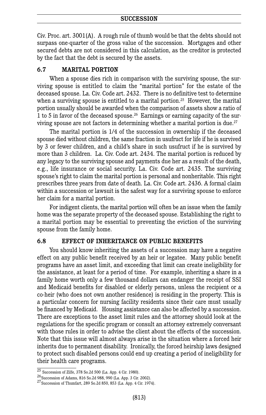Civ. Proc. art. 3001(A). A rough rule of thumb would be that the debts should not surpass one-quarter of the gross value of the succession. Mortgages and other secured debts are not considered in this calculation, as the creditor is protected by the fact that the debt is secured by the assets.

#### **6.7 MARITAL PORTION**

When a spouse dies rich in comparison with the surviving spouse, the surviving spouse is entitled to claim the "marital portion" for the estate of the deceased spouse. La. Civ. Code art. 2432. There is no definitive test to determine when a surviving spouse is entitled to a marital portion. <sup>25</sup> However, the marital portion usually should be awarded when the comparison of assets show a ratio of 1 to 5 in favor of the deceased spouse.<sup>26</sup> Earnings or earning capacity of the surviving spouse are not factors in determining whether a marital portion is due. 27

The marital portion is 1/4 of the succession in ownership if the deceased spouse died without children, the same fraction in usufruct for life if he is survived by 3 or fewer children, and a child's share in such usufruct if he is survived by more than 3 children. La. Civ. Code art. 2434. The marital portion is reduced by any legacy to the surviving spouse and payments due her as a result of the death, e.g., life insurance or social security. La. Civ. Code art. 2435. The surviving spouse's right to claim the marital portion is personal and nonheritable. This right prescribes three years from date of death. La. Civ. Code art. 2436. A formal claim within a succession or lawsuit is the safest way for a surviving spouse to enforce her claim for a marital portion.

For indigent clients, the marital portion will often be an issue when the family home was the separate property of the deceased spouse. Establishing the right to a marital portion may be essential to preventing the eviction of the surviving spouse from the family home.

#### **6.8 EFFECT OF INHERITANCE ON PUBLIC BENEFITS**

You should know inheriting the assets of a succession may have a negative effect on any public benefit received by an heir or legatee. Many public benefit programs have an asset limit, and exceeding that limit can create ineligibility for the assistance, at least for a period of time. For example, inheriting a share in a family home worth only a few thousand dollars can endanger the receipt of SSI and Medicaid benefits for disabled or elderly persons, unless the recipient or a co-heir (who does not own another residence) is residing in the property. This is a particular concern for nursing facility residents since their care must usually be financed by Medicaid. Housing assistance can also be affected by a succession. There are exceptions to the asset limit rules and the attorney should look at the regulations for the specific program or consult an attorney extremely conversant with those rules in order to advise the client about the effects of the succession. Note that this issue will almost always arise in the situation where a forced heir inherits due to permanent disability. Ironically, the forced heirship laws designed to protect such disabled persons could end up creating a period of ineligibility for their health care programs.

 $\frac{25}{35}$  Succession of Zilfe, 378 So.2d 500 (La. App. 4 Cir. 1980).<br>  $^{26}$  Succession of Adams, 816 So.2d 988, 990 (La. App. 3 Cir. 2002).<br>  $^{27}$  Succession of Thumfart, 289 So.2d 850, 853 (La. App. 4 Cir. 1974).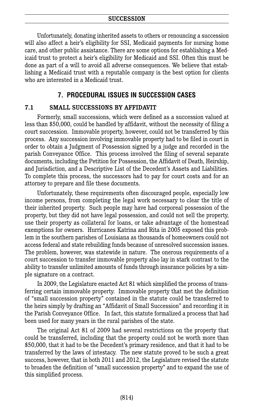Unfortunately, donating inherited assets to others or renouncing a succession will also affect a heir's eligibility for SSI, Medicaid payments for nursing home care, and other public assistance. There are some options for establishing a Medicaid trust to protect a heir's eligibility for Medicaid and SSI. Often this must be done as part of a will to avoid all adverse consequences. We believe that establishing a Medicaid trust with a reputable company is the best option for clients who are interested in a Medicaid trust.

## **7. PROCEDURAL ISSUES IN SUCCESSION CASES**

#### **7.1 SMALL SUCCESSIONS BY AFFIDAVIT**

Formerly, small successions, which were defined as a succession valued at less than \$50,000, could be handled by affidavit, without the necessity of filing a court succession. Immovable property, however, could not be transferred by this process. Any succession involving immovable property had to be filed in court in order to obtain a Judgment of Possession signed by a judge and recorded in the parish Conveyance Office. This process involved the filing of several separate documents, including the Petition for Possession, the Affidavit of Death, Heirship, and Jurisdiction, and a Descriptive List of the Decedent's Assets and Liabilities. To complete this process, the successors had to pay for court costs and for an attorney to prepare and file these documents.

Unfortunately, these requirements often discouraged people, especially low income persons, from completing the legal work necessary to clear the title of their inherited property. Such people may have had corporeal possession of the property, but they did not have legal possession, and could not sell the property, use their property as collateral for loans, or take advantage of the homestead exemptions for owners. Hurricanes Katrina and Rita in 2005 exposed this problem in the southern parishes of Louisiana as thousands of homeowners could not access federal and state rebuilding funds because of unresolved succession issues. The problem, however, was statewide in nature. The onerous requirements of a court succession to transfer immovable property also lay in stark contrast to the ability to transfer unlimited amounts of funds through insurance policies by a simple signature on a contract.

In 2009, the Legislature enacted Act 81 which simplified the process of transferring certain immovable property. Immovable property that met the definition of "small succession property" contained in the statute could be transferred to the heirs simply by drafting an "Affidavit of Small Succession" and recording it in the Parish Conveyance Office. In fact, this statute formalized a process that had been used for many years in the rural parishes of the state.

The original Act 81 of 2009 had several restrictions on the property that could be transferred, including that the property could not be worth more than \$50,000, that it had to be the Decedent's primary residence, and that it had to be transferred by the laws of intestacy. The new statute proved to be such a great success, however, that in both 2011 and 2012, the Legislature revised the statute to broaden the definition of "small succession property" and to expand the use of this simplified process.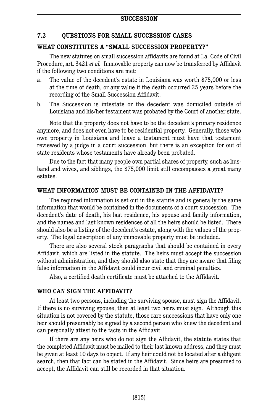#### **7.2 QUESTIONS FOR SMALL SUCCESSION CASES**

#### **WHAT CONSTITUTES A "SMALL SUCCESSION PROPERTY?"**

The new statutes on small succession affidavits are found at La. Code of Civil Procedure, art. 3421 *et al.* Immovable property can now be transferred by Affidavit if the following two conditions are met:

- a. The value of the decedent's estate in Louisiana was worth \$75,000 or less at the time of death, or any value if the death occurred 25 years before the recording of the Small Succession Affidavit.
- b. The Succession is intestate or the decedent was domiciled outside of Louisiana and his/her testament was probated by the Court of another state.

Note that the property does not have to be the decedent's primary residence anymore, and does not even have to be residential property. Generally, those who own property in Louisiana and leave a testament must have that testament reviewed by a judge in a court succession, but there is an exception for out of state residents whose testaments have already been probated.

Due to the fact that many people own partial shares of property, such as husband and wives, and siblings, the \$75,000 limit still encompasses a great many estates.

#### **WHAT INFORMATION MUST BE CONTAINED IN THE AFFIDAVIT?**

The required information is set out in the statute and is generally the same information that would be contained in the documents of a court succession. The decedent's date of death, his last residence, his spouse and family information, and the names and last known residences of all the heirs should be listed. There should also be a listing of the decedent's estate, along with the values of the property. The legal description of any immovable property must be included.

There are also several stock paragraphs that should be contained in every Affidavit, which are listed in the statute. The heirs must accept the succession without administration, and they should also state that they are aware that filing false information in the Affidavit could incur civil and criminal penalties.

Also, a certified death certificate must be attached to the Affidavit.

## **WHO CAN SIGN THE AFFIDAVIT?**

At least two persons, including the surviving spouse, must sign the Affidavit. If there is no surviving spouse, then at least two heirs must sign. Although this situation is not covered by the statute, those rare successions that have only one heir should presumably be signed by a second person who knew the decedent and can personally attest to the facts in the Affidavit.

If there are any heirs who do not sign the Affidavit, the statute states that the completed Affidavit must be mailed to their last known address, and they must be given at least 10 days to object. If any heir could not be located after a diligent search, then that fact can be stated in the Affidavit. Since heirs are presumed to accept, the Affidavit can still be recorded in that situation.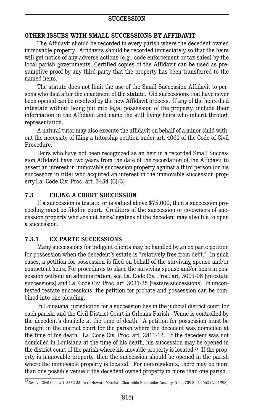#### **OTHER ISSUES WITH SMALL SUCCESSIONS BY AFFIDAVIT**

The Affidavit should be recorded in every parish where the decedent owned immovable property. Affidavits should be recorded immediately so that the heirs will get notice of any adverse actions (e.g., code enforcement or tax sales) by the local parish governments. Certified copies of the Affidavit can be used as presumptive proof by any third party that the property has been transferred to the named heirs.

The statute does not limit the use of the Small Succession Affidavit to persons who died after the enactment of the statute. Old successions that have never been opened can be resolved by the new Affidavit process. If any of the heirs died intestate without being put into legal possession of the property, include their information in the Affidavit and name the still living heirs who inherit through representation.

A natural tutor may also execute the affidavit on behalf of a minor child without the necessity of filing a tutorship petition under art. 4061 of the Code of Civil Procedure.

Heirs who have not been recognized as an heir in a recorded Small Succession Affidavit have two years from the date of the recordation of the Affidavit to assert an interest in immovable succession property against a third person (or his successors in title) who acquired an interest in the immovable succession property.La. Code Civ. Proc. art. 3434 (C)(3).

#### **7.3 FILING A COURT SUCCESSION**

If a succession is testate, or is valued above \$75,000, then a succession proceeding must be filed in court. Creditors of the succession or co-owners of succession property who are not heirs/legatees of the decedent may also file to open a succession.

#### **7.3.1 EX PARTE SUCCESSIONS**

Many successions for indigent clients may be handled by an ex parte petition for possession when the decedent's estate is "relatively free from debt." In such cases, a petition for possession is filed on behalf of the surviving spouse and/or competent heirs. For procedures to place the surviving spouse and/or heirs in possession without an administration, see La. Code Civ. Proc. art. 3001-08 (intestate successions) and La. Code Civ. Proc. art. 3031-35 (testate successions). In uncontested testate successions, the petition for probate and possession can be combined into one pleading.

In Louisiana, jurisdiction for a succession lies in the judicial district court for each parish, and the Civil District Court in Orleans Parish. Venue is controlled by the decedent's domicile at the time of death. A petition for possession must be brought in the district court for the parish where the decedent was domiciled at the time of his death. La. Code Civ. Proc. art. 2811-12. If the decedent was not domiciled in Louisiana at the time of his death, his succession may be opened in the district court of the parish where his movable property is located. <sup>28</sup> If the property is immovable property, then the succession should be opened in the parish where the immovable property is located. For non-residents, there may be more than one possible venue if the decedent owned property in more than one parish.

<sup>28</sup>*See* La. Civil Code art. 3532-33; In re Howard Marshall Charitable Remainder Annuity Trust, 709 So.2d 662 (La. 1998).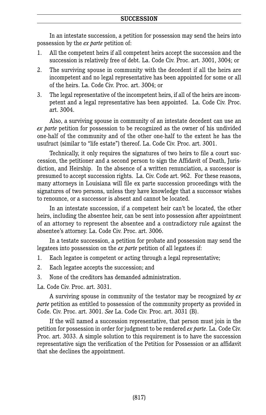In an intestate succession, a petition for possession may send the heirs into possession by the *ex parte* petition of:

- 1. All the competent heirs if all competent heirs accept the succession and the succession is relatively free of debt. La. Code Civ. Proc. art. 3001, 3004; or
- 2. The surviving spouse in community with the decedent if all the heirs are incompetent and no legal representative has been appointed for some or all of the heirs. La. Code Civ. Proc. art. 3004; or
- 3. The legal representative of the incompetent heirs, if all of the heirs are incompetent and a legal representative has been appointed. La. Code Civ. Proc. art. 3004.

Also, a surviving spouse in community of an intestate decedent can use an *ex parte* petition for possession to be recognized as the owner of his undivided one-half of the community and of the other one-half to the extent he has the usufruct (similar to "life estate") thereof. La. Code Civ. Proc. art. 3001.

Technically, it only requires the signatures of two heirs to file a court succession, the petitioner and a second person to sign the Affidavit of Death, Jurisdiction, and Heirship. In the absence of a written renunciation, a successor is presumed to accept succession rights. La. Civ. Code art. 962. For these reasons, many attorneys in Louisiana will file ex parte succession proceedings with the signatures of two persons, unless they have knowledge that a successor wishes to renounce, or a successor is absent and cannot be located.

In an intestate succession, if a competent heir can't be located, the other heirs, including the absentee heir, can be sent into possession after appointment of an attorney to represent the absentee and a contradictory rule against the absentee's attorney. La. Code Civ. Proc. art. 3006.

In a testate succession, a petition for probate and possession may send the legatees into possession on the *ex parte* petition of all legatees if:

- 1. Each legatee is competent or acting through a legal representative;
- 2. Each legatee accepts the succession; and
- 3. None of the creditors has demanded administration.

La. Code Civ. Proc. art. 3031.

A surviving spouse in community of the testator may be recognized by *ex parte* petition as entitled to possession of the community property as provided in Code. Civ. Proc. art. 3001. *See* La. Code Civ. Proc. art. 3031 (B).

If the will named a succession representative, that person must join in the petition for possession in order for judgment to be rendered *ex parte*. La. Code Civ. Proc. art. 3033. A simple solution to this requirement is to have the succession representative sign the verification of the Petition for Possession or an affidavit that she declines the appointment.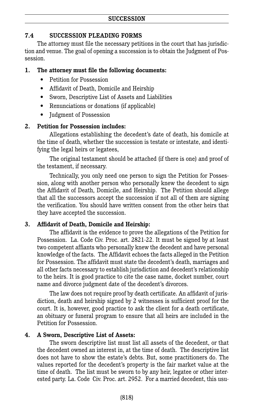## **7.4 SUCCESSION PLEADING FORMS**

The attorney must file the necessary petitions in the court that has jurisdiction and venue. The goal of opening a succession is to obtain the Judgment of Possession.

#### **1. The attorney must file the following documents:**

- Petition for Possession
- Affidavit of Death, Domicile and Heirship
- Sworn, Descriptive List of Assets and Liabilities
- Renunciations or donations (if applicable)
- **Iudgment of Possession**

#### **2. Petition for Possession includes:**

Allegations establishing the decedent's date of death, his domicile at the time of death, whether the succession is testate or intestate, and identifying the legal heirs or legatees,

The original testament should be attached (if there is one) and proof of the testament, if necessary.

Technically, you only need one person to sign the Petition for Possession, along with another person who personally knew the decedent to sign the Affidavit of Death, Domicile, and Heirship. The Petition should allege that all the successors accept the succession if not all of them are signing the verification. You should have written consent from the other heirs that they have accepted the succession.

#### **3. Affidavit of Death, Domicile and Heirship:**

The affidavit is the evidence to prove the allegations of the Petition for Possession. La. Code Civ. Proc. art. 2821-22. It must be signed by at least two competent affiants who personally knew the decedent and have personal knowledge of the facts. The Affidavit echoes the facts alleged in the Petition for Possession. The affidavit must state the decedent's death, marriages and all other facts necessary to establish jurisdiction and decedent's relationship to the heirs. It is good practice to cite the case name, docket number, court name and divorce judgment date of the decedent's divorces.

The law does not require proof by death certificate. An affidavit of jurisdiction, death and heirship signed by 2 witnesses is sufficient proof for the court. It is, however, good practice to ask the client for a death certificate, an obituary or funeral program to ensure that all heirs are included in the Petition for Possession.

#### **4. A Sworn, Descriptive List of Assets:**

The sworn descriptive list must list all assets of the decedent, or that the decedent owned an interest in, at the time of death. The descriptive list does not have to show the estate's debts. But, some practitioners do. The values reported for the decedent's property is the fair market value at the time of death. The list must be sworn to by any heir, legatee or other interested party. La. Code Civ. Proc. art. 2952. For a married decedent, this usu-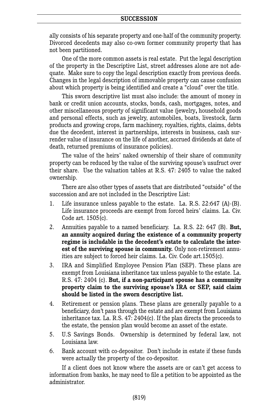ally consists of his separate property and one-half of the community property. Divorced decedents may also co-own former community property that has not been partitioned.

One of the more common assets is real estate. Put the legal description of the property in the Descriptive List, street addresses alone are not adequate. Make sure to copy the legal description exactly from previous deeds. Changes in the legal description of immovable property can cause confusion about which property is being identified and create a "cloud" over the title.

This sworn descriptive list must also include: the amount of money in bank or credit union accounts, stocks, bonds, cash, mortgages, notes, and other miscellaneous property of significant value (jewelry**,** household goods and personal effects, such as jewelry, automobiles, boats, livestock, farm products and growing crops, farm machinery, royalties, rights, claims, debts due the decedent, interest in partnerships, interests in business, cash surrender value of insurance on the life of another, accrued dividends at date of death, returned premiums of insurance policies).

The value of the heirs' naked ownership of their share of community property can be reduced by the value of the surviving spouse's usufruct over their share. Use the valuation tables at R.S. 47: 2405 to value the naked ownership.

There are also other types of assets that are distributed "outside" of the succession and are not included in the Descriptive List:

- 1. Life insurance unless payable to the estate. La. R.S. 22:647 (A)-(B). Life insurance proceeds are exempt from forced heirs' claims. La. Civ. Code art. 1505(c).
- 2. Annuities payable to a named beneficiary. La. R.S. 22: 647 (B). **But, an annuity acquired during the existence of a community property regime is includable in the decedent's estate to calculate the interest of the surviving spouse in community.** Only non-retirement annuities are subject to forced heir claims. La. Civ. Code art.1505(c).
- 3. IRA and Simplified Employee Pension Plan (SEP). These plans are exempt from Louisiana inheritance tax unless payable to the estate. La. R.S. 47: 2404 (c). **But, if a non-participant spouse has a community property claim to the surviving spouse's IRA or SEP, said claim should be listed in the sworn descriptive list.**
- 4. Retirement or pension plans. These plans are generally payable to a beneficiary, don't pass through the estate and are exempt from Louisiana inheritance tax. La. R.S. 47: 2404(c). If the plan directs the proceeds to the estate, the pension plan would become an asset of the estate.
- 5. U.S Savings Bonds. Ownership is determined by federal law, not Louisiana law.
- 6. Bank account with co-depositor. Don't include in estate if these funds were actually the property of the co-depositor.

If a client does not know where the assets are or can't get access to information from banks, he may need to file a petition to be appointed as the administrator.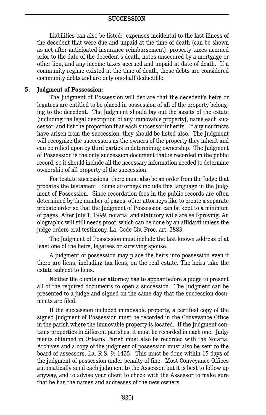Liabilities can also be listed: expenses incidental to the last illness of the decedent that were due and unpaid at the time of death (can be shown as net after anticipated insurance reimbursement), property taxes accrued prior to the date of the decedent's death, notes unsecured by a mortgage or other lien, and any income taxes accrued and unpaid at date of death. If a community regime existed at the time of death, these debts are considered community debts and are only one-half deductible.

#### **5. Judgment of Possession:**

The Judgment of Possession will declare that the decedent's heirs or legatees are entitled to be placed in possession of all of the property belonging to the decedent. The Judgment should lay out the assets of the estate (including the legal description of any immovable property), name each successor, and list the proportion that each successor inherits. If any usufructs have arisen from the succession, they should be listed also. The Judgment will recognize the successors as the owners of the property they inherit and can be relied upon by third parties in determining ownership. The Judgment of Possession is the only succession document that is recorded in the public record, so it should include all the necessary information needed to determine ownership of all property of the succession.

For testate successions, there must also be an order from the Judge that probates the testament. Some attorneys include this language in the Judgment of Possession. Since recordation fees in the public records are often determined by the number of pages, other attorneys like to create a separate probate order so that the Judgment of Possession can be kept to a minimum of pages. After July 1, 1999, notarial and statutory wills are self-proving. An olographic will still needs proof, which can be done by an affidavit unless the judge orders oral testimony. La. Code Civ. Proc. art. 2883.

The Judgment of Possession must include the last known address of at least one of the heirs, legatees or surviving spouse.

A judgment of possession may place the heirs into possession even if there are liens, including tax liens, on the real estate. The heirs take the estate subject to liens.

Neither the clients nor attorney has to appear before a judge to present all of the required documents to open a succession. The Judgment can be presented to a judge and signed on the same day that the succession documents are filed.

If the succession included immovable property, a certified copy of the signed Judgment of Possession must be recorded in the Conveyance Office in the parish where the immovable property is located. If the Judgment contains properties in different parishes, it must be recorded in each one. Judgments obtained in Orleans Parish must also be recorded with the Notarial Archives and a copy of the judgment of possession must also be sent to the board of assessors. La. R.S. 9: 1425. This must be done within 15 days of the judgment of possession under penalty of fine. Most Conveyance Offices automatically send each judgment to the Assessor, but it is best to follow up anyway, and to advise your client to check with the Assessor to make sure that he has the names and addresses of the new owners.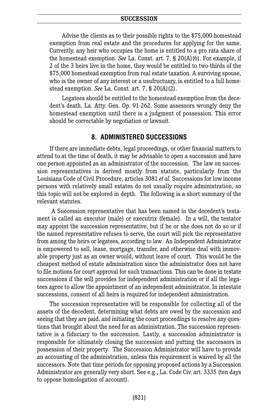Advise the clients as to their possible rights to the \$75,000 homestead exemption from real estate and the procedures for applying for the same. Currently, any heir who occupies the home is entitled to a pro rata share of the homestead exemption. *See* La. Const. art. 7, § 20(A)(6). For example, if 2 of the 3 heirs live in the home, they would be entitled to two-thirds of the \$75,000 homestead exemption from real estate taxation. A surviving spouse, who is the owner of any interest or a usufructuary, is entitled to a full homestead exemption. *See* La. Const. art. 7, § 20(A)(2).

Legatees should be entitled to the homestead exemption from the decedent's death. La. Atty. Gen. Op. 91-262. Some assessors wrongly deny the homestead exemption until there is a judgment of possession. This error should be correctable by negotiation or lawsuit.

## **8. ADMINISTERED SUCCESSIONS**

If there are immediate debts, legal proceedings, or other financial matters to attend to at the time of death, it may be advisable to open a succession and have one person appointed as an administrator of the succession. The law on succession representatives is derived mostly from statute, particularly from the Louisiana Code of Civil Procedure, articles 3081 *et al.* Successions for low income persons with relatively small estates do not usually require administration, so this topic will not be explored in depth. The following is a short summary of the relevant statutes.

A Succession representative that has been named in the decedent's testament is called an executor (male) or executrix (female). In a will, the testator may appoint the succession representative, but if he or she does not do so or if the named representative refuses to serve, the court will pick the representative from among the heirs or legatees, according to law. An Independent Administrator is empowered to sell, lease, mortgage, transfer, and otherwise deal with immovable property just as an owner would, without leave of court. This would be the cheapest method of estate administration since the administrator does not have to file motions for court approval for such transactions. This can be done in testate successions if the will provides for independent administration or if all the legatees agree to allow the appointment of an independent administrator. In intestate successions, consent of all heirs is required for independent administration.

The succession representative will be responsible for collecting all of the assets of the decedent, determining what debts are owed by the succession and seeing that they are paid, and initiating the court proceedings to resolve any questions that brought about the need for an administration. The succession representative is a fiduciary to the succession. Lastly, a succession administrator is responsible for ultimately closing the succession and putting the successors in possession of their property. The Succession Administrator will have to provide an accounting of the administration, unless this requirement is waived by all the successors. Note that time periods for opposing proposed actions by a Succession Administrator are generally very short. See e.g., La. Code Civ. art. 3335 (ten days to oppose homologation of account).